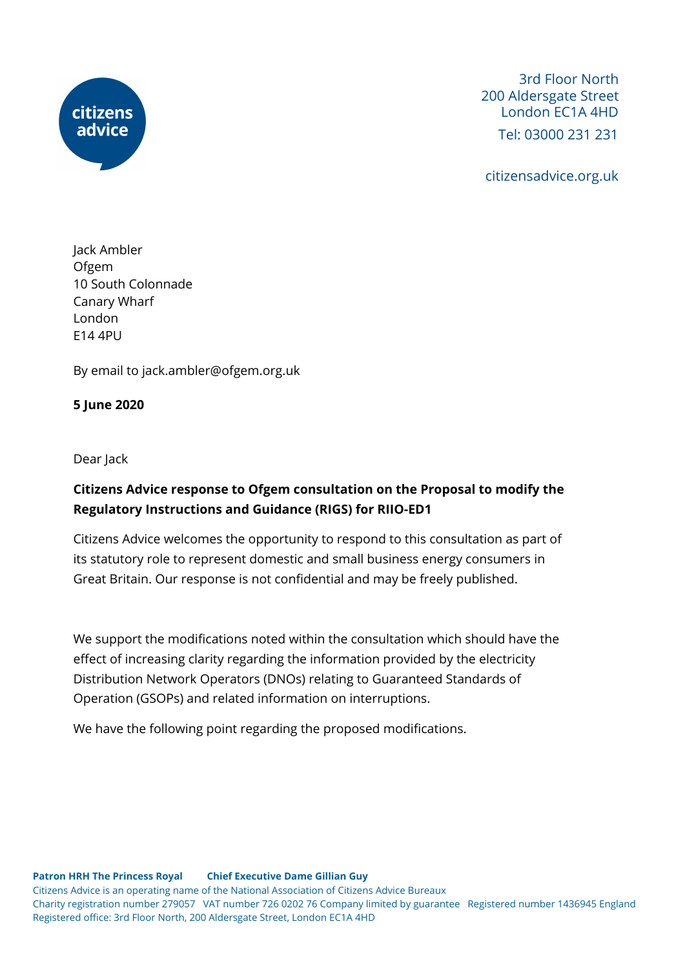

3rd Floor North 200 Aldersgate Street London EC1A 4HD Tel: 03000 231 231

citizensadvice.org.uk

Jack Ambler Ofgem 10 South Colonnade Canary Wharf London E14 4PU

By email to jack.ambler@ofgem.org.uk

## **5 June 2020**

Dear Jack

## **Citizens Advice response to Ofgem consultation on the Proposal to modify the Regulatory Instructions and Guidance (RIGS) for RIIO-ED1**

Citizens Advice welcomes the opportunity to respond to this consultation as part of its statutory role to represent domestic and small business energy consumers in Great Britain. Our response is not confidential and may be freely published.

We support the modifications noted within the consultation which should have the effect of increasing clarity regarding the information provided by the electricity Distribution Network Operators (DNOs) relating to Guaranteed Standards of Operation (GSOPs) and related information on interruptions.

We have the following point regarding the proposed modifications.